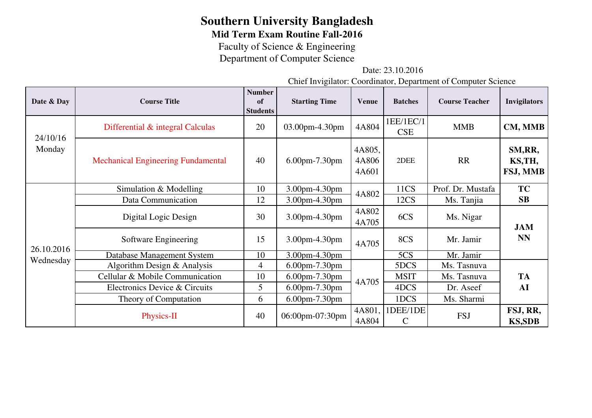## **Southern University Bangladesh Mid Term Exam Routine Fall-2016**

Faculty of Science & Engineering

Department of Computer Science

Date: 23.10.2016

Chief Invigilator: Coordinator, Department of Computer Science

| Date & Day              | <b>Course Title</b><br><b>Students</b>    |                | <b>Starting Time</b> | <b>Venue</b>             | <b>Batches</b>           | <b>Course Teacher</b> | <b>Invigilators</b>                   |
|-------------------------|-------------------------------------------|----------------|----------------------|--------------------------|--------------------------|-----------------------|---------------------------------------|
| 24/10/16<br>Monday      | Differential & integral Calculas          | 20             | 03.00pm-4.30pm       | 4A804                    | 1EE/1EC/1<br><b>CSE</b>  | <b>MMB</b>            | CM, MMB                               |
|                         | <b>Mechanical Engineering Fundamental</b> | 40             | $6.00$ pm $-7.30$ pm | 4A805,<br>4A806<br>4A601 | 2DEE                     | <b>RR</b>             | SM, RR,<br>KS, TH,<br><b>FSJ, MMB</b> |
|                         | Simulation & Modelling                    | 10             | 3.00pm-4.30pm        | 4A802                    | 11CS                     | Prof. Dr. Mustafa     | <b>TC</b>                             |
|                         | Data Communication                        | 12             | 3.00pm-4.30pm        |                          | 12CS                     | Ms. Tanjia            | SB                                    |
| 26.10.2016<br>Wednesday | Digital Logic Design                      | 30             | 3.00pm-4.30pm        | 4A802<br>4A705           | 6CS                      | Ms. Nigar             | <b>JAM</b>                            |
|                         | Software Engineering                      | 15             | 3.00pm-4.30pm        | 4A705                    | 8CS                      | Mr. Jamir             | <b>NN</b>                             |
|                         | <b>Database Management System</b>         | 10             | 3.00pm-4.30pm        |                          | 5 <sub>CS</sub>          | Mr. Jamir             |                                       |
|                         | Algorithm Design $&$ Analysis             | $\overline{4}$ | $6.00$ pm $-7.30$ pm |                          | 5DCS                     | Ms. Tasnuva           | <b>TA</b>                             |
|                         | Cellular & Mobile Communication           | 10             | 6.00pm-7.30pm        | 4A705                    | <b>MSIT</b>              | Ms. Tasnuva           |                                       |
|                         | Electronics Device & Circuits             | 5              | $6.00$ pm $-7.30$ pm |                          |                          | Dr. Aseef             | AI                                    |
|                         | Theory of Computation                     | 6              | $6.00$ pm $-7.30$ pm |                          |                          | Ms. Sharmi            |                                       |
|                         | Physics-II                                | 40             | 06:00pm-07:30pm      | 4A801,<br>4A804          | 1DEE/1DE<br>$\mathsf{C}$ | <b>FSJ</b>            | FSJ, RR,<br><b>KS,SDB</b>             |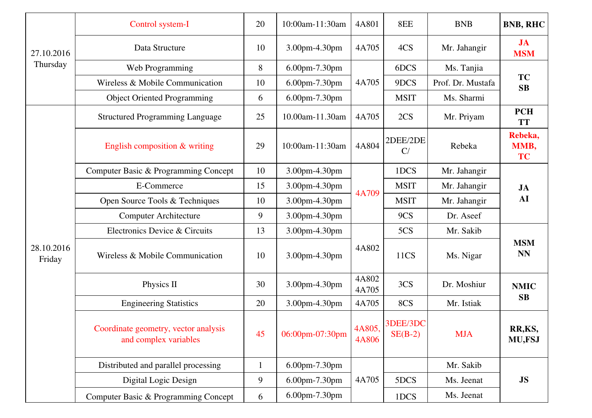| 27.10.2016<br>Thursday | Control system-I                                              | 20 | 10:00am-11:30am | 4A801           | 8EE                   | <b>BNB</b>        | <b>BNB, RHC</b>              |
|------------------------|---------------------------------------------------------------|----|-----------------|-----------------|-----------------------|-------------------|------------------------------|
|                        | Data Structure                                                | 10 | 3.00pm-4.30pm   | 4A705           | 4CS                   | Mr. Jahangir      | JA<br><b>MSM</b>             |
|                        | Web Programming                                               | 8  | 6.00pm-7.30pm   |                 |                       | Ms. Tanjia        |                              |
|                        | Wireless & Mobile Communication                               | 10 | 6.00pm-7.30pm   | 4A705           | 9DCS                  | Prof. Dr. Mustafa | <b>TC</b><br>SB              |
|                        | <b>Object Oriented Programming</b>                            | 6  | 6.00pm-7.30pm   |                 | <b>MSIT</b>           | Ms. Sharmi        |                              |
|                        | <b>Structured Programming Language</b>                        | 25 | 10.00am-11.30am | 4A705           | 2CS                   | Mr. Priyam        | <b>PCH</b><br><b>TT</b>      |
|                        | English composition $&$ writing                               | 29 | 10:00am-11:30am | 4A804           | 2DEE/2DE<br>C/        | Rebeka            | Rebeka,<br>MMB,<br><b>TC</b> |
|                        | Computer Basic & Programming Concept                          | 10 | 3.00pm-4.30pm   |                 | 1DCS                  | Mr. Jahangir      | JA<br>AI                     |
|                        | E-Commerce                                                    | 15 | 3.00pm-4.30pm   | 4A709           | <b>MSIT</b>           | Mr. Jahangir      |                              |
|                        | Open Source Tools & Techniques                                | 10 | 3.00pm-4.30pm   |                 | <b>MSIT</b>           | Mr. Jahangir      |                              |
| 28.10.2016<br>Friday   | <b>Computer Architecture</b>                                  | 9  | 3.00pm-4.30pm   |                 | 9CS                   | Dr. Aseef         |                              |
|                        | Electronics Device & Circuits                                 | 13 | 3.00pm-4.30pm   |                 | 5CS                   | Mr. Sakib         | <b>MSM</b><br><b>NN</b>      |
|                        | Wireless & Mobile Communication                               | 10 | 3.00pm-4.30pm   | 4A802           | 11CS                  | Ms. Nigar         |                              |
|                        | Physics II                                                    | 30 | 3.00pm-4.30pm   | 4A802<br>4A705  | 3CS                   | Dr. Moshiur       | <b>NMIC</b>                  |
|                        | <b>Engineering Statistics</b>                                 | 20 | 3.00pm-4.30pm   | 4A705           | 8CS                   | Mr. Istiak        | SB                           |
|                        | Coordinate geometry, vector analysis<br>and complex variables | 45 | 06:00pm-07:30pm | 4A805,<br>4A806 | 3DEE/3DC<br>$SE(B-2)$ | <b>MJA</b>        | RR, KS,<br><b>MU,FSJ</b>     |
|                        | Distributed and parallel processing                           | 1  | 6.00pm-7.30pm   |                 |                       | Mr. Sakib         | <b>JS</b>                    |
|                        | 9<br>Digital Logic Design                                     |    | 6.00pm-7.30pm   | 4A705           | 5DCS                  | Ms. Jeenat        |                              |
|                        | Computer Basic & Programming Concept                          | 6  | 6.00pm-7.30pm   |                 | 1DCS                  | Ms. Jeenat        |                              |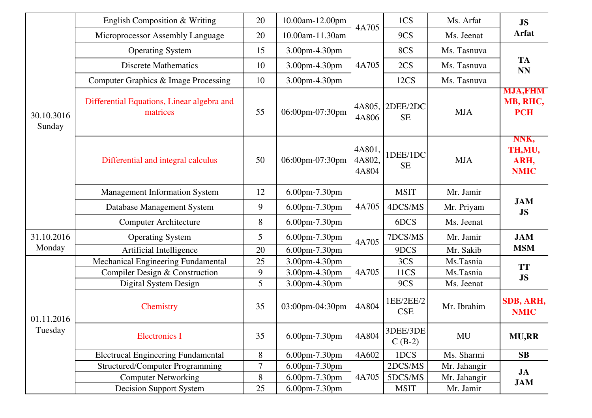| 30.10.3016<br>Sunday  | English Composition & Writing                          | 20              | 10.00am-12.00pm               | 4A705                     |                         | Ms. Arfat    | <b>JS</b><br><b>Arfat</b>                |  |
|-----------------------|--------------------------------------------------------|-----------------|-------------------------------|---------------------------|-------------------------|--------------|------------------------------------------|--|
|                       | Microprocessor Assembly Language                       | 20              | 10.00am-11.30am               |                           |                         | Ms. Jeenat   |                                          |  |
|                       | <b>Operating System</b>                                | 15              | 3.00pm-4.30pm                 |                           |                         | Ms. Tasnuva  |                                          |  |
|                       | <b>Discrete Mathematics</b>                            | 10              | 3.00pm-4.30pm                 | 4A705                     | 2CS                     | Ms. Tasnuva  | <b>TA</b><br><b>NN</b>                   |  |
|                       | Computer Graphics & Image Processing                   | 10              | 3.00pm-4.30pm                 |                           | 12CS                    | Ms. Tasnuva  |                                          |  |
|                       | Differential Equations, Linear algebra and<br>matrices | 55              | 06:00pm-07:30pm               | 4A805,<br>4A806           | 2DEE/2DC<br><b>SE</b>   | <b>MJA</b>   | <b>MJA,FHM</b><br>MB, RHC,<br><b>PCH</b> |  |
|                       | Differential and integral calculus                     | 50              | 06:00pm-07:30pm               | 4A801,<br>4A802,<br>4A804 | 1DEE/1DC<br><b>SE</b>   | <b>MJA</b>   | NNK,<br>TH,MU,<br>ARH,<br><b>NMIC</b>    |  |
|                       | <b>Management Information System</b>                   | 12              | $6.00$ pm $-7.30$ pm          |                           | <b>MSIT</b>             | Mr. Jamir    |                                          |  |
|                       | Database Management System                             | 9               | 4A705<br>$6.00$ pm $-7.30$ pm |                           | 4DCS/MS                 | Mr. Priyam   | <b>JAM</b><br><b>JS</b>                  |  |
|                       | <b>Computer Architecture</b>                           | 8               | $6.00$ pm $-7.30$ pm          |                           | 6DCS                    | Ms. Jeenat   |                                          |  |
| 31.10.2016            | <b>Operating System</b>                                | $5\overline{)}$ | 6.00pm-7.30pm                 | 4A705                     | 7DCS/MS                 | Mr. Jamir    | <b>JAM</b>                               |  |
| Monday                | Artificial Intelligence                                | 20              | 6.00pm-7.30pm                 |                           | 9DCS                    | Mr. Sakib    | <b>MSM</b>                               |  |
| 01.11.2016<br>Tuesday | <b>Mechanical Engineering Fundamental</b>              | 25              | 3.00pm-4.30pm                 |                           | 3 <sub>CS</sub>         | Ms.Tasnia    | <b>TT</b><br><b>JS</b>                   |  |
|                       | Compiler Design & Construction                         | 9               | 3.00pm-4.30pm                 | 4A705                     | 11CS                    | Ms.Tasnia    |                                          |  |
|                       | Digital System Design                                  | 5               | 3.00pm-4.30pm                 |                           | 9CS                     | Ms. Jeenat   |                                          |  |
|                       | Chemistry                                              | 35              | 03:00pm-04:30pm               | 4A804                     | 1EE/2EE/2<br><b>CSE</b> | Mr. Ibrahim  | SDB, ARH,<br><b>NMIC</b>                 |  |
|                       | <b>Electronics I</b>                                   | 35              | 6.00pm-7.30pm                 | 4A804                     | 3DEE/3DE<br>$C(B-2)$    | MU           | <b>MU,RR</b>                             |  |
|                       | <b>Electrucal Engineering Fundamental</b>              | 8               | 6.00pm-7.30pm                 | 4A602                     | 1DCS                    | Ms. Sharmi   | SB                                       |  |
|                       | <b>Structured/Computer Programming</b>                 | 7               | 6.00pm-7.30pm                 |                           | 2DCS/MS                 | Mr. Jahangir |                                          |  |
|                       | <b>Computer Networking</b>                             | 8               | 4A705<br>$6.00$ pm $-7.30$ pm |                           | 5DCS/MS                 | Mr. Jahangir | JA<br><b>JAM</b>                         |  |
|                       | <b>Decision Support System</b>                         | 25              | 6.00pm-7.30pm                 |                           |                         | Mr. Jamir    |                                          |  |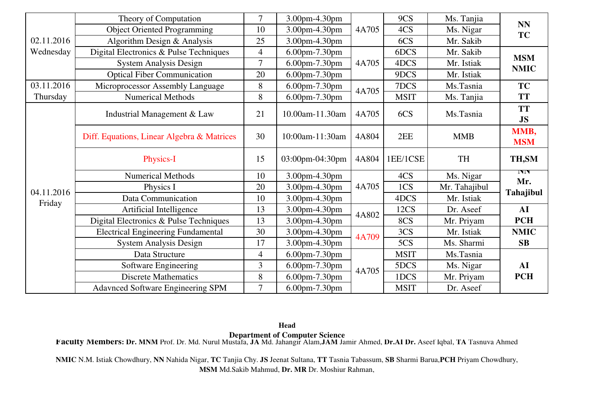|            |                                                                                                             | $\overline{7}$      | 3.00pm-4.30pm    |       | 9CS         | Ms. Tanjia    |                           |
|------------|-------------------------------------------------------------------------------------------------------------|---------------------|------------------|-------|-------------|---------------|---------------------------|
|            | Theory of Computation                                                                                       |                     |                  |       |             |               | <b>NN</b>                 |
|            | <b>Object Oriented Programming</b>                                                                          | 10<br>25            | 3.00pm-4.30pm    | 4A705 | 4CS         | Ms. Nigar     | <b>TC</b>                 |
|            | Algorithm Design & Analysis<br>02.11.2016                                                                   |                     | 3.00pm-4.30pm    |       | 6CS         | Mr. Sakib     |                           |
| Wednesday  | Digital Electronics & Pulse Techniques<br>$\overline{4}$<br>$\overline{7}$<br><b>System Analysis Design</b> |                     | 6.00pm-7.30pm    | 4A705 | 6DCS        | Mr. Sakib     | <b>MSM</b><br><b>NMIC</b> |
|            |                                                                                                             |                     | 6.00pm-7.30pm    |       | 4DCS        | Mr. Istiak    |                           |
|            | <b>Optical Fiber Communication</b>                                                                          | 20<br>6.00pm-7.30pm |                  |       | 9DCS        | Mr. Istiak    |                           |
| 03.11.2016 | Microprocessor Assembly Language                                                                            | 8                   | 6.00pm-7.30pm    | 4A705 | 7DCS        | Ms.Tasnia     | <b>TC</b>                 |
| Thursday   | <b>Numerical Methods</b>                                                                                    | 8                   | 6.00pm-7.30pm    |       | <b>MSIT</b> | Ms. Tanjia    | <b>TT</b>                 |
|            | Industrial Management & Law                                                                                 | 21                  | 10.00am-11.30am  | 4A705 | 6CS         | Ms.Tasnia     | <b>TT</b>                 |
|            |                                                                                                             |                     |                  |       |             |               | <b>JS</b>                 |
|            | Diff. Equations, Linear Algebra & Matrices                                                                  | 30                  | 10:00am-11:30am  | 4A804 | 2EE         | <b>MMB</b>    | MMB,<br><b>MSM</b>        |
|            | Physics-I                                                                                                   | 15                  | 03:00pm-04:30pm  | 4A804 | 1EE/1CSE    | <b>TH</b>     | TH, SM                    |
|            |                                                                                                             |                     |                  |       |             |               |                           |
|            | <b>Numerical Methods</b>                                                                                    | 10                  | 3.00pm-4.30pm    |       | 4CS         | Ms. Nigar     | <b>IVIV</b>               |
|            | Physics I                                                                                                   | 20                  | 3.00pm-4.30pm    | 4A705 | 1CS         | Mr. Tahajibul | Mr.                       |
| 04.11.2016 | Data Communication                                                                                          | 10                  | 3.00pm-4.30pm    |       | 4DCS        | Mr. Istiak    | Tahajibul                 |
| Friday     | Artificial Intelligence                                                                                     | 13                  | 3.00pm-4.30pm    |       | 12CS        | Dr. Aseef     | AI                        |
|            | Digital Electronics & Pulse Techniques                                                                      | 13                  | 3.00pm-4.30pm    | 4A802 | 8CS         | Mr. Priyam    | <b>PCH</b>                |
|            | <b>Electrical Engineering Fundamental</b>                                                                   | 30                  | 3.00pm-4.30pm    |       | 3CS         | Mr. Istiak    | <b>NMIC</b>               |
|            | <b>System Analysis Design</b>                                                                               | 17                  | 3.00pm-4.30pm    | 4A709 | 5CS         | Ms. Sharmi    | <b>SB</b>                 |
|            | Data Structure                                                                                              | $\overline{4}$      | $6.00$ pm-7.30pm |       | <b>MSIT</b> | Ms.Tasnia     |                           |
|            | Software Engineering                                                                                        | 3                   | 6.00pm-7.30pm    |       | 5DCS        | Ms. Nigar     | AI                        |
|            | <b>Discrete Mathematics</b>                                                                                 | 8                   | 6.00pm-7.30pm    | 4A705 | 1DCS        | Mr. Priyam    | <b>PCH</b>                |

**Head**

**Department of Computer Science**

**Faculty Members: Dr. MNM** Prof. Dr. Md. Nurul Mustafa, **JA** Md. Jahangir Alam,**JAM** Jamir Ahmed, **Dr.AI Dr.** Aseef Iqbal, **TA** Tasnuva Ahmed

**NMIC** N.M. Istiak Chowdhury, **NN** Nahida Nigar, **TC** Tanjia Chy. **JS** Jeenat Sultana, **TT** Tasnia Tabassum, **SB** Sharmi Barua,**PCH** Priyam Chowdhury, **MSM** Md.Sakib Mahmud, **Dr. MR** Dr. Moshiur Rahman,